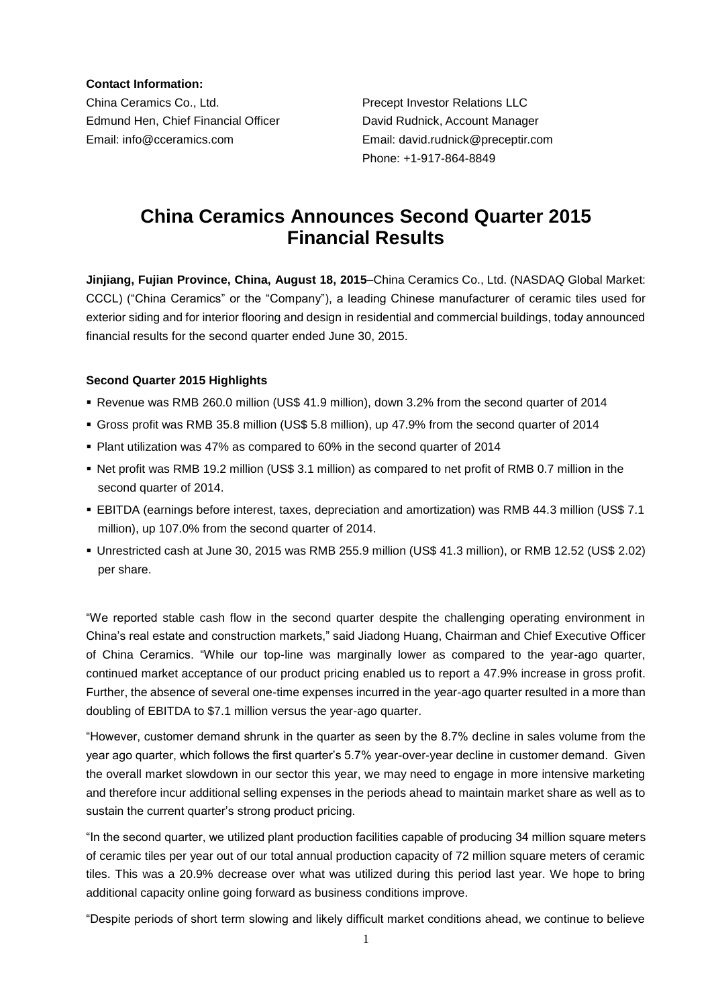**Contact Information:**

China Ceramics Co., Ltd. Precept Investor Relations LLC Edmund Hen, Chief Financial Officer David Rudnick, Account Manager Email: info@cceramics.com Email: david.rudnick@preceptir.com

Phone: +1-917-864-8849

# **China Ceramics Announces Second Quarter 2015 Financial Results**

**Jinjiang, Fujian Province, China, August 18, 2015**–China Ceramics Co., Ltd. (NASDAQ Global Market: CCCL) ("China Ceramics" or the "Company"), a leading Chinese manufacturer of ceramic tiles used for exterior siding and for interior flooring and design in residential and commercial buildings, today announced financial results for the second quarter ended June 30, 2015.

# **Second Quarter 2015 Highlights**

- Revenue was RMB 260.0 million (US\$ 41.9 million), down 3.2% from the second quarter of 2014
- Gross profit was RMB 35.8 million (US\$ 5.8 million), up 47.9% from the second quarter of 2014
- Plant utilization was 47% as compared to 60% in the second quarter of 2014
- Net profit was RMB 19.2 million (US\$ 3.1 million) as compared to net profit of RMB 0.7 million in the second quarter of 2014.
- EBITDA (earnings before interest, taxes, depreciation and amortization) was RMB 44.3 million (US\$ 7.1 million), up 107.0% from the second quarter of 2014.
- Unrestricted cash at June 30, 2015 was RMB 255.9 million (US\$ 41.3 million), or RMB 12.52 (US\$ 2.02) per share.

"We reported stable cash flow in the second quarter despite the challenging operating environment in China's real estate and construction markets," said Jiadong Huang, Chairman and Chief Executive Officer of China Ceramics. "While our top-line was marginally lower as compared to the year-ago quarter, continued market acceptance of our product pricing enabled us to report a 47.9% increase in gross profit. Further, the absence of several one-time expenses incurred in the year-ago quarter resulted in a more than doubling of EBITDA to \$7.1 million versus the year-ago quarter.

"However, customer demand shrunk in the quarter as seen by the 8.7% decline in sales volume from the year ago quarter, which follows the first quarter's 5.7% year-over-year decline in customer demand. Given the overall market slowdown in our sector this year, we may need to engage in more intensive marketing and therefore incur additional selling expenses in the periods ahead to maintain market share as well as to sustain the current quarter's strong product pricing.

"In the second quarter, we utilized plant production facilities capable of producing 34 million square meters of ceramic tiles per year out of our total annual production capacity of 72 million square meters of ceramic tiles. This was a 20.9% decrease over what was utilized during this period last year. We hope to bring additional capacity online going forward as business conditions improve.

"Despite periods of short term slowing and likely difficult market conditions ahead, we continue to believe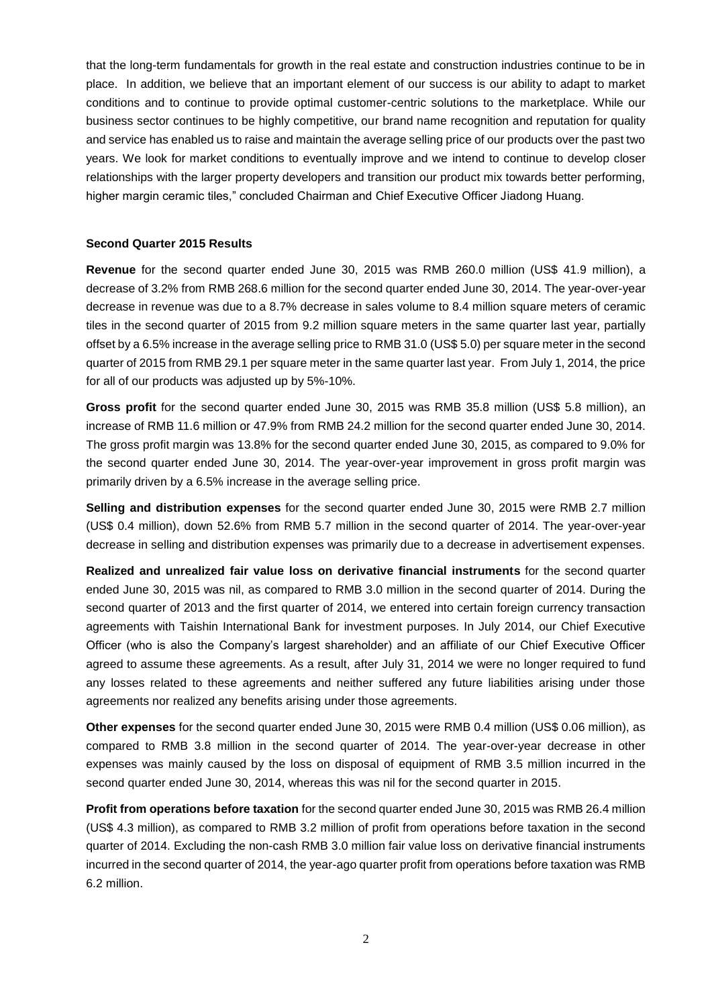that the long-term fundamentals for growth in the real estate and construction industries continue to be in place. In addition, we believe that an important element of our success is our ability to adapt to market conditions and to continue to provide optimal customer-centric solutions to the marketplace. While our business sector continues to be highly competitive, our brand name recognition and reputation for quality and service has enabled us to raise and maintain the average selling price of our products over the past two years. We look for market conditions to eventually improve and we intend to continue to develop closer relationships with the larger property developers and transition our product mix towards better performing, higher margin ceramic tiles," concluded Chairman and Chief Executive Officer Jiadong Huang.

#### **Second Quarter 2015 Results**

**Revenue** for the second quarter ended June 30, 2015 was RMB 260.0 million (US\$ 41.9 million), a decrease of 3.2% from RMB 268.6 million for the second quarter ended June 30, 2014. The year-over-year decrease in revenue was due to a 8.7% decrease in sales volume to 8.4 million square meters of ceramic tiles in the second quarter of 2015 from 9.2 million square meters in the same quarter last year, partially offset by a 6.5% increase in the average selling price to RMB 31.0 (US\$ 5.0) per square meter in the second quarter of 2015 from RMB 29.1 per square meter in the same quarter last year. From July 1, 2014, the price for all of our products was adjusted up by 5%-10%.

**Gross profit** for the second quarter ended June 30, 2015 was RMB 35.8 million (US\$ 5.8 million), an increase of RMB 11.6 million or 47.9% from RMB 24.2 million for the second quarter ended June 30, 2014. The gross profit margin was 13.8% for the second quarter ended June 30, 2015, as compared to 9.0% for the second quarter ended June 30, 2014. The year-over-year improvement in gross profit margin was primarily driven by a 6.5% increase in the average selling price.

**Selling and distribution expenses** for the second quarter ended June 30, 2015 were RMB 2.7 million (US\$ 0.4 million), down 52.6% from RMB 5.7 million in the second quarter of 2014. The year-over-year decrease in selling and distribution expenses was primarily due to a decrease in advertisement expenses.

**Realized and unrealized fair value loss on derivative financial instruments** for the second quarter ended June 30, 2015 was nil, as compared to RMB 3.0 million in the second quarter of 2014. During the second quarter of 2013 and the first quarter of 2014, we entered into certain foreign currency transaction agreements with Taishin International Bank for investment purposes. In July 2014, our Chief Executive Officer (who is also the Company's largest shareholder) and an affiliate of our Chief Executive Officer agreed to assume these agreements. As a result, after July 31, 2014 we were no longer required to fund any losses related to these agreements and neither suffered any future liabilities arising under those agreements nor realized any benefits arising under those agreements.

**Other expenses** for the second quarter ended June 30, 2015 were RMB 0.4 million (US\$ 0.06 million), as compared to RMB 3.8 million in the second quarter of 2014. The year-over-year decrease in other expenses was mainly caused by the loss on disposal of equipment of RMB 3.5 million incurred in the second quarter ended June 30, 2014, whereas this was nil for the second quarter in 2015.

**Profit from operations before taxation** for the second quarter ended June 30, 2015 was RMB 26.4 million (US\$ 4.3 million), as compared to RMB 3.2 million of profit from operations before taxation in the second quarter of 2014. Excluding the non-cash RMB 3.0 million fair value loss on derivative financial instruments incurred in the second quarter of 2014, the year-ago quarter profit from operations before taxation was RMB 6.2 million.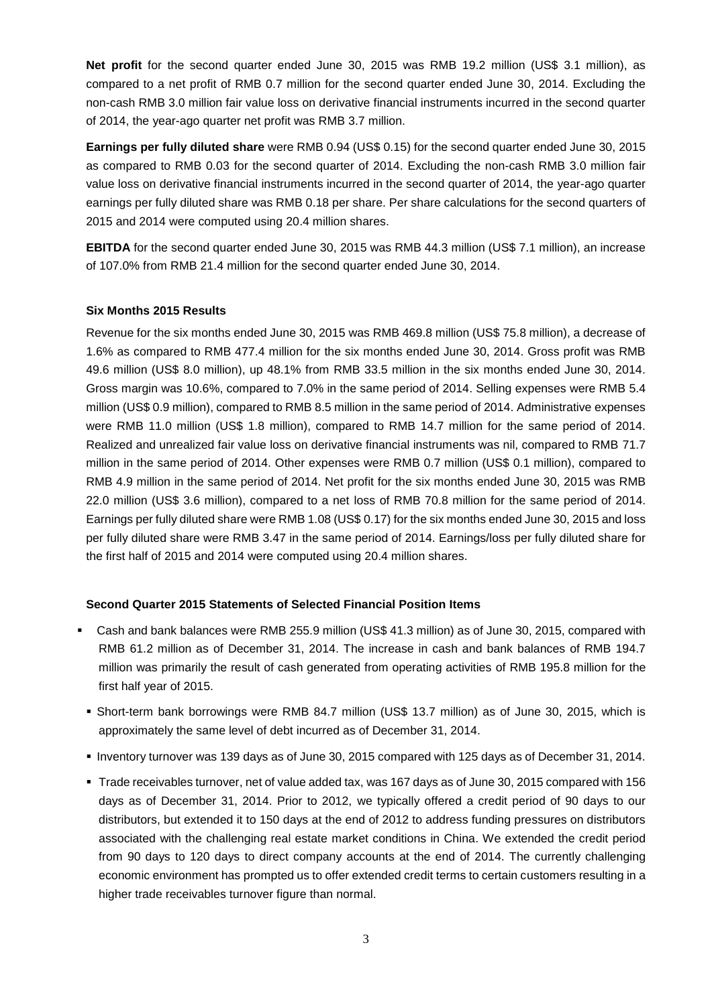**Net profit** for the second quarter ended June 30, 2015 was RMB 19.2 million (US\$ 3.1 million), as compared to a net profit of RMB 0.7 million for the second quarter ended June 30, 2014. Excluding the non-cash RMB 3.0 million fair value loss on derivative financial instruments incurred in the second quarter of 2014, the year-ago quarter net profit was RMB 3.7 million.

**Earnings per fully diluted share** were RMB 0.94 (US\$ 0.15) for the second quarter ended June 30, 2015 as compared to RMB 0.03 for the second quarter of 2014. Excluding the non-cash RMB 3.0 million fair value loss on derivative financial instruments incurred in the second quarter of 2014, the year-ago quarter earnings per fully diluted share was RMB 0.18 per share. Per share calculations for the second quarters of 2015 and 2014 were computed using 20.4 million shares.

**EBITDA** for the second quarter ended June 30, 2015 was RMB 44.3 million (US\$ 7.1 million), an increase of 107.0% from RMB 21.4 million for the second quarter ended June 30, 2014.

# **Six Months 2015 Results**

Revenue for the six months ended June 30, 2015 was RMB 469.8 million (US\$ 75.8 million), a decrease of 1.6% as compared to RMB 477.4 million for the six months ended June 30, 2014. Gross profit was RMB 49.6 million (US\$ 8.0 million), up 48.1% from RMB 33.5 million in the six months ended June 30, 2014. Gross margin was 10.6%, compared to 7.0% in the same period of 2014. Selling expenses were RMB 5.4 million (US\$ 0.9 million), compared to RMB 8.5 million in the same period of 2014. Administrative expenses were RMB 11.0 million (US\$ 1.8 million), compared to RMB 14.7 million for the same period of 2014. Realized and unrealized fair value loss on derivative financial instruments was nil, compared to RMB 71.7 million in the same period of 2014. Other expenses were RMB 0.7 million (US\$ 0.1 million), compared to RMB 4.9 million in the same period of 2014. Net profit for the six months ended June 30, 2015 was RMB 22.0 million (US\$ 3.6 million), compared to a net loss of RMB 70.8 million for the same period of 2014. Earnings per fully diluted share were RMB 1.08 (US\$ 0.17) for the six months ended June 30, 2015 and loss per fully diluted share were RMB 3.47 in the same period of 2014. Earnings/loss per fully diluted share for the first half of 2015 and 2014 were computed using 20.4 million shares.

#### **Second Quarter 2015 Statements of Selected Financial Position Items**

- Cash and bank balances were RMB 255.9 million (US\$ 41.3 million) as of June 30, 2015, compared with RMB 61.2 million as of December 31, 2014. The increase in cash and bank balances of RMB 194.7 million was primarily the result of cash generated from operating activities of RMB 195.8 million for the first half year of 2015.
	- Short-term bank borrowings were RMB 84.7 million (US\$ 13.7 million) as of June 30, 2015, which is approximately the same level of debt incurred as of December 31, 2014.
	- Inventory turnover was 139 days as of June 30, 2015 compared with 125 days as of December 31, 2014.
	- Trade receivables turnover, net of value added tax, was 167 days as of June 30, 2015 compared with 156 days as of December 31, 2014. Prior to 2012, we typically offered a credit period of 90 days to our distributors, but extended it to 150 days at the end of 2012 to address funding pressures on distributors associated with the challenging real estate market conditions in China. We extended the credit period from 90 days to 120 days to direct company accounts at the end of 2014. The currently challenging economic environment has prompted us to offer extended credit terms to certain customers resulting in a higher trade receivables turnover figure than normal.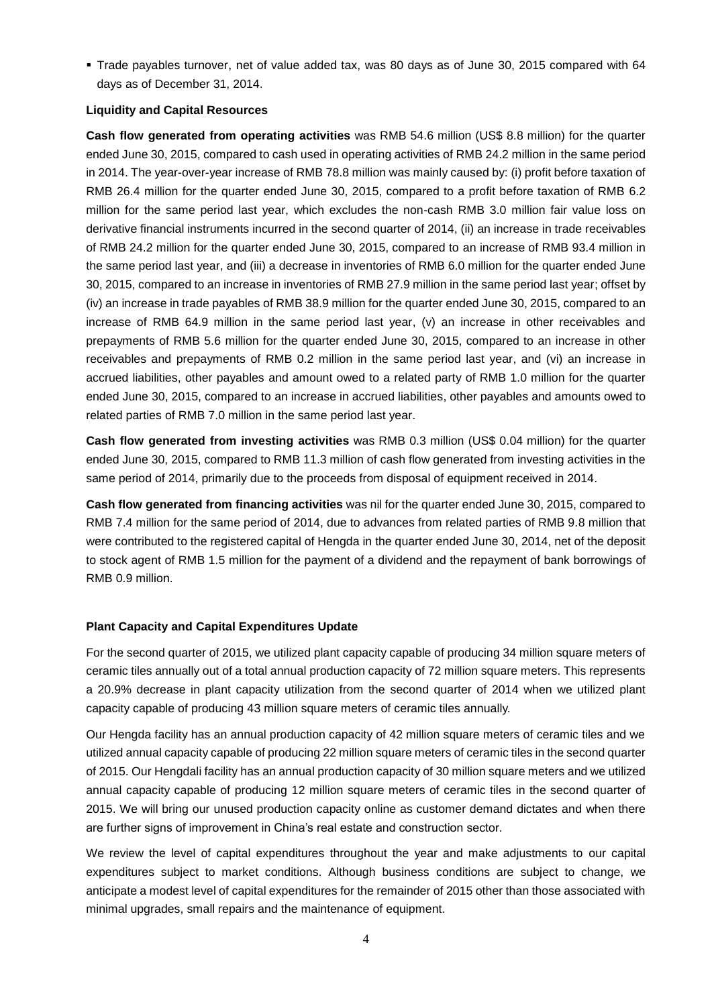Trade payables turnover, net of value added tax, was 80 days as of June 30, 2015 compared with 64 days as of December 31, 2014.

### **Liquidity and Capital Resources**

**Cash flow generated from operating activities** was RMB 54.6 million (US\$ 8.8 million) for the quarter ended June 30, 2015, compared to cash used in operating activities of RMB 24.2 million in the same period in 2014. The year-over-year increase of RMB 78.8 million was mainly caused by: (i) profit before taxation of RMB 26.4 million for the quarter ended June 30, 2015, compared to a profit before taxation of RMB 6.2 million for the same period last year, which excludes the non-cash RMB 3.0 million fair value loss on derivative financial instruments incurred in the second quarter of 2014, (ii) an increase in trade receivables of RMB 24.2 million for the quarter ended June 30, 2015, compared to an increase of RMB 93.4 million in the same period last year, and (iii) a decrease in inventories of RMB 6.0 million for the quarter ended June 30, 2015, compared to an increase in inventories of RMB 27.9 million in the same period last year; offset by (iv) an increase in trade payables of RMB 38.9 million for the quarter ended June 30, 2015, compared to an increase of RMB 64.9 million in the same period last year, (v) an increase in other receivables and prepayments of RMB 5.6 million for the quarter ended June 30, 2015, compared to an increase in other receivables and prepayments of RMB 0.2 million in the same period last year, and (vi) an increase in accrued liabilities, other payables and amount owed to a related party of RMB 1.0 million for the quarter ended June 30, 2015, compared to an increase in accrued liabilities, other payables and amounts owed to related parties of RMB 7.0 million in the same period last year.

**Cash flow generated from investing activities** was RMB 0.3 million (US\$ 0.04 million) for the quarter ended June 30, 2015, compared to RMB 11.3 million of cash flow generated from investing activities in the same period of 2014, primarily due to the proceeds from disposal of equipment received in 2014.

**Cash flow generated from financing activities** was nil for the quarter ended June 30, 2015, compared to RMB 7.4 million for the same period of 2014, due to advances from related parties of RMB 9.8 million that were contributed to the registered capital of Hengda in the quarter ended June 30, 2014, net of the deposit to stock agent of RMB 1.5 million for the payment of a dividend and the repayment of bank borrowings of RMB 0.9 million.

# **Plant Capacity and Capital Expenditures Update**

For the second quarter of 2015, we utilized plant capacity capable of producing 34 million square meters of ceramic tiles annually out of a total annual production capacity of 72 million square meters. This represents a 20.9% decrease in plant capacity utilization from the second quarter of 2014 when we utilized plant capacity capable of producing 43 million square meters of ceramic tiles annually.

Our Hengda facility has an annual production capacity of 42 million square meters of ceramic tiles and we utilized annual capacity capable of producing 22 million square meters of ceramic tiles in the second quarter of 2015. Our Hengdali facility has an annual production capacity of 30 million square meters and we utilized annual capacity capable of producing 12 million square meters of ceramic tiles in the second quarter of 2015. We will bring our unused production capacity online as customer demand dictates and when there are further signs of improvement in China's real estate and construction sector.

We review the level of capital expenditures throughout the year and make adjustments to our capital expenditures subject to market conditions. Although business conditions are subject to change, we anticipate a modest level of capital expenditures for the remainder of 2015 other than those associated with minimal upgrades, small repairs and the maintenance of equipment.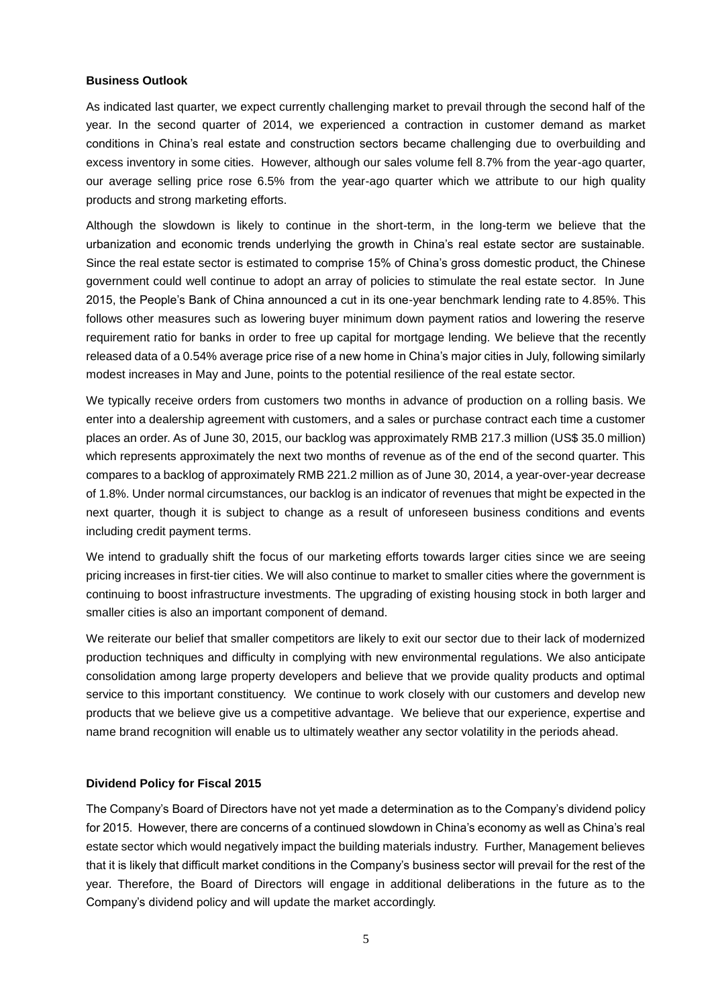#### **Business Outlook**

As indicated last quarter, we expect currently challenging market to prevail through the second half of the year. In the second quarter of 2014, we experienced a contraction in customer demand as market conditions in China's real estate and construction sectors became challenging due to overbuilding and excess inventory in some cities. However, although our sales volume fell 8.7% from the year-ago quarter, our average selling price rose 6.5% from the year-ago quarter which we attribute to our high quality products and strong marketing efforts.

Although the slowdown is likely to continue in the short-term, in the long-term we believe that the urbanization and economic trends underlying the growth in China's real estate sector are sustainable. Since the real estate sector is estimated to comprise 15% of China's gross domestic product, the Chinese government could well continue to adopt an array of policies to stimulate the real estate sector. In June 2015, the People's Bank of China announced a cut in its one-year benchmark lending rate to 4.85%. This follows other measures such as lowering buyer minimum down payment ratios and lowering the reserve requirement ratio for banks in order to free up capital for mortgage lending. We believe that the recently released data of a 0.54% average price rise of a new home in China's major cities in July, following similarly modest increases in May and June, points to the potential resilience of the real estate sector.

We typically receive orders from customers two months in advance of production on a rolling basis. We enter into a dealership agreement with customers, and a sales or purchase contract each time a customer places an order. As of June 30, 2015, our backlog was approximately RMB 217.3 million (US\$ 35.0 million) which represents approximately the next two months of revenue as of the end of the second quarter. This compares to a backlog of approximately RMB 221.2 million as of June 30, 2014, a year-over-year decrease of 1.8%. Under normal circumstances, our backlog is an indicator of revenues that might be expected in the next quarter, though it is subject to change as a result of unforeseen business conditions and events including credit payment terms.

We intend to gradually shift the focus of our marketing efforts towards larger cities since we are seeing pricing increases in first-tier cities. We will also continue to market to smaller cities where the government is continuing to boost infrastructure investments. The upgrading of existing housing stock in both larger and smaller cities is also an important component of demand.

We reiterate our belief that smaller competitors are likely to exit our sector due to their lack of modernized production techniques and difficulty in complying with new environmental regulations. We also anticipate consolidation among large property developers and believe that we provide quality products and optimal service to this important constituency. We continue to work closely with our customers and develop new products that we believe give us a competitive advantage. We believe that our experience, expertise and name brand recognition will enable us to ultimately weather any sector volatility in the periods ahead.

#### **Dividend Policy for Fiscal 2015**

The Company's Board of Directors have not yet made a determination as to the Company's dividend policy for 2015. However, there are concerns of a continued slowdown in China's economy as well as China's real estate sector which would negatively impact the building materials industry. Further, Management believes that it is likely that difficult market conditions in the Company's business sector will prevail for the rest of the year. Therefore, the Board of Directors will engage in additional deliberations in the future as to the Company's dividend policy and will update the market accordingly.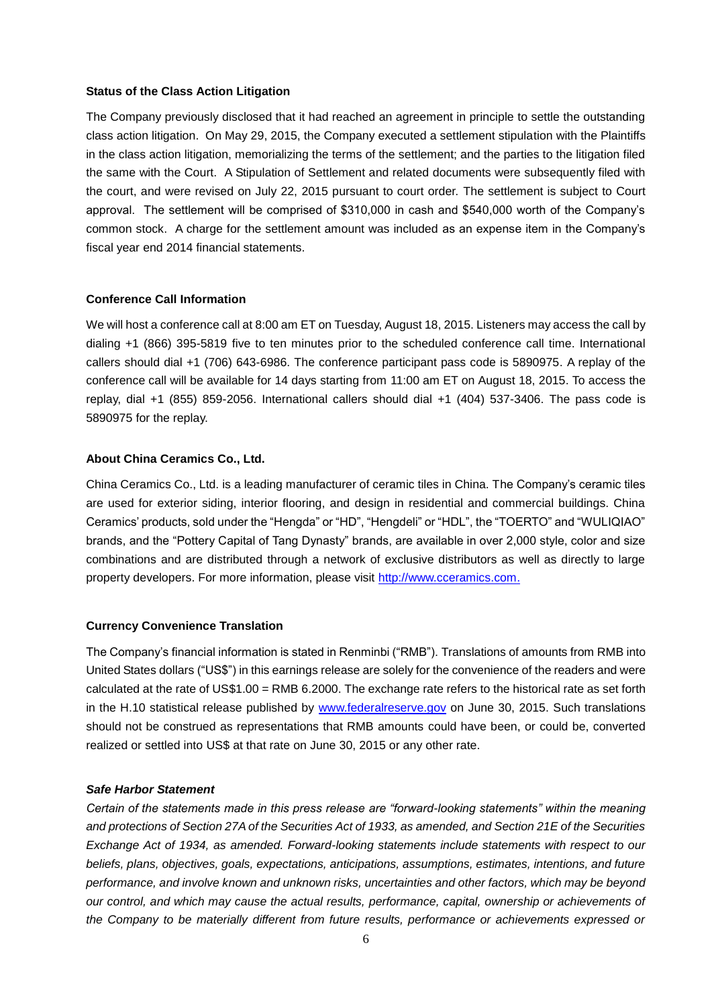#### **Status of the Class Action Litigation**

The Company previously disclosed that it had reached an agreement in principle to settle the outstanding class action litigation. On May 29, 2015, the Company executed a settlement stipulation with the Plaintiffs in the class action litigation, memorializing the terms of the settlement; and the parties to the litigation filed the same with the Court. A Stipulation of Settlement and related documents were subsequently filed with the court, and were revised on July 22, 2015 pursuant to court order. The settlement is subject to Court approval. The settlement will be comprised of \$310,000 in cash and \$540,000 worth of the Company's common stock. A charge for the settlement amount was included as an expense item in the Company's fiscal year end 2014 financial statements.

#### **Conference Call Information**

We will host a conference call at 8:00 am ET on Tuesday, August 18, 2015. Listeners may access the call by dialing +1 (866) 395-5819 five to ten minutes prior to the scheduled conference call time. International callers should dial +1 (706) 643-6986. The conference participant pass code is 5890975. A replay of the conference call will be available for 14 days starting from 11:00 am ET on August 18, 2015. To access the replay, dial +1 (855) 859-2056. International callers should dial +1 (404) 537-3406. The pass code is 5890975 for the replay.

#### **About China Ceramics Co., Ltd.**

China Ceramics Co., Ltd. is a leading manufacturer of ceramic tiles in China. The Company's ceramic tiles are used for exterior siding, interior flooring, and design in residential and commercial buildings. China Ceramics' products, sold under the "Hengda" or "HD", "Hengdeli" or "HDL", the "TOERTO" and "WULIQIAO" brands, and the "Pottery Capital of Tang Dynasty" brands, are available in over 2,000 style, color and size combinations and are distributed through a network of exclusive distributors as well as directly to large property developers. For more information, please visit [http://www.cceramics.com.](http://www.cceramics.com/)

#### **Currency Convenience Translation**

The Company's financial information is stated in Renminbi ("RMB"). Translations of amounts from RMB into United States dollars ("US\$") in this earnings release are solely for the convenience of the readers and were calculated at the rate of US\$1.00 = RMB 6.2000. The exchange rate refers to the historical rate as set forth in the H.10 statistical release published by [www.federalreserve.gov](http://www.federalreserve.gov/) on June 30, 2015. Such translations should not be construed as representations that RMB amounts could have been, or could be, converted realized or settled into US\$ at that rate on June 30, 2015 or any other rate.

#### *Safe Harbor Statement*

*Certain of the statements made in this press release are "forward-looking statements" within the meaning and protections of Section 27A of the Securities Act of 1933, as amended, and Section 21E of the Securities Exchange Act of 1934, as amended. Forward-looking statements include statements with respect to our beliefs, plans, objectives, goals, expectations, anticipations, assumptions, estimates, intentions, and future performance, and involve known and unknown risks, uncertainties and other factors, which may be beyond our control, and which may cause the actual results, performance, capital, ownership or achievements of the Company to be materially different from future results, performance or achievements expressed or*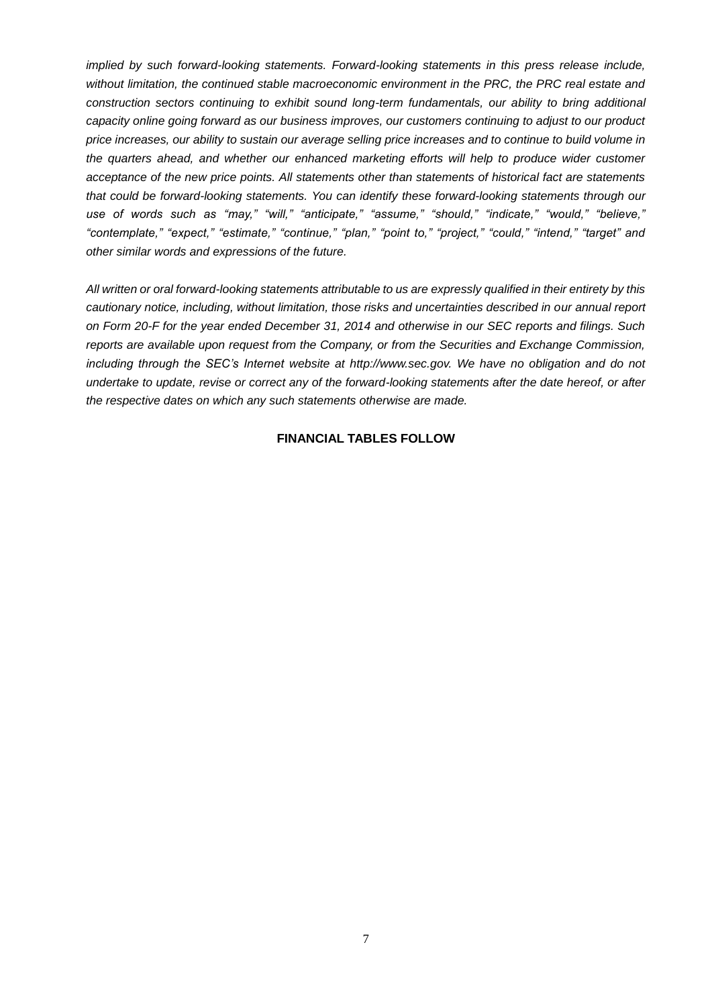*implied by such forward-looking statements. Forward-looking statements in this press release include, without limitation, the continued stable macroeconomic environment in the PRC, the PRC real estate and construction sectors continuing to exhibit sound long-term fundamentals, our ability to bring additional capacity online going forward as our business improves, our customers continuing to adjust to our product price increases, our ability to sustain our average selling price increases and to continue to build volume in the quarters ahead, and whether our enhanced marketing efforts will help to produce wider customer acceptance of the new price points. All statements other than statements of historical fact are statements that could be forward-looking statements. You can identify these forward-looking statements through our use of words such as "may," "will," "anticipate," "assume," "should," "indicate," "would," "believe," "contemplate," "expect," "estimate," "continue," "plan," "point to," "project," "could," "intend," "target" and other similar words and expressions of the future.* 

*All written or oral forward-looking statements attributable to us are expressly qualified in their entirety by this cautionary notice, including, without limitation, those risks and uncertainties described in our annual report on Form 20-F for the year ended December 31, 2014 and otherwise in our SEC reports and filings. Such reports are available upon request from the Company, or from the Securities and Exchange Commission, including through the SEC's Internet website at http://www.sec.gov. We have no obligation and do not undertake to update, revise or correct any of the forward-looking statements after the date hereof, or after the respective dates on which any such statements otherwise are made.*

## **FINANCIAL TABLES FOLLOW**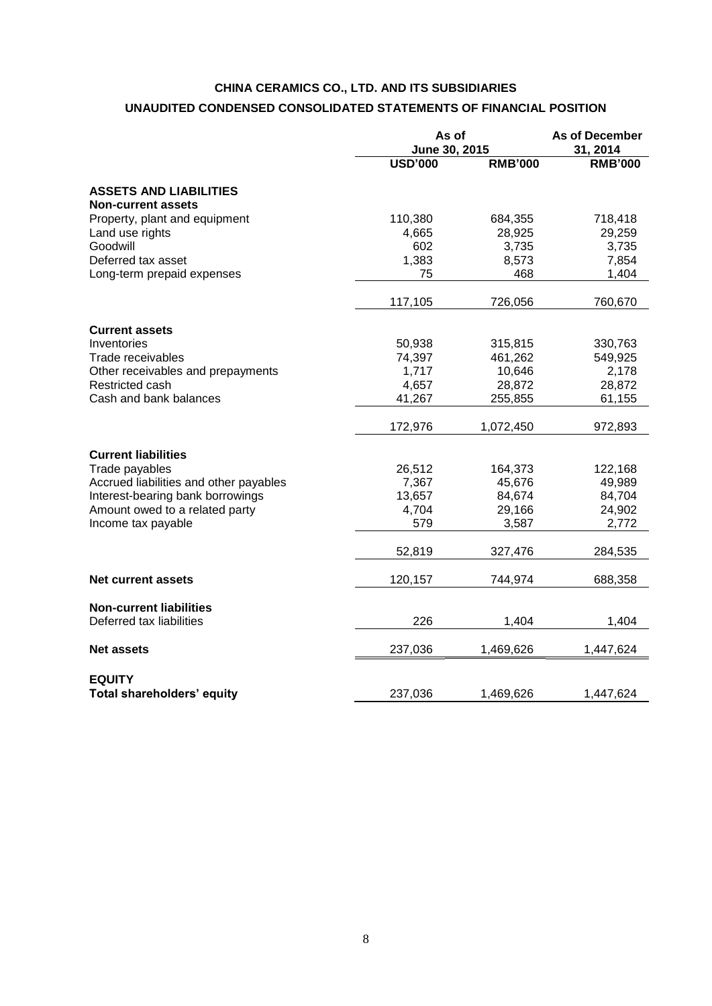# **CHINA CERAMICS CO., LTD. AND ITS SUBSIDIARIES**

# **UNAUDITED CONDENSED CONSOLIDATED STATEMENTS OF FINANCIAL POSITION**

|                                                            |                | As of<br>June 30, 2015 |                |
|------------------------------------------------------------|----------------|------------------------|----------------|
|                                                            | <b>USD'000</b> | <b>RMB'000</b>         | <b>RMB'000</b> |
| <b>ASSETS AND LIABILITIES</b><br><b>Non-current assets</b> |                |                        |                |
| Property, plant and equipment                              | 110,380        | 684,355                | 718,418        |
| Land use rights                                            | 4,665          | 28,925                 | 29,259         |
| Goodwill                                                   | 602            | 3,735                  | 3,735          |
| Deferred tax asset                                         | 1,383          | 8,573                  | 7,854          |
| Long-term prepaid expenses                                 | 75             | 468                    | 1,404          |
|                                                            | 117,105        | 726,056                | 760,670        |
| <b>Current assets</b>                                      |                |                        |                |
| Inventories                                                | 50,938         | 315,815                | 330,763        |
| Trade receivables                                          | 74,397         | 461,262                | 549,925        |
| Other receivables and prepayments                          | 1,717          | 10,646                 | 2,178          |
| Restricted cash                                            | 4,657          | 28,872                 | 28,872         |
| Cash and bank balances                                     | 41,267         | 255,855                | 61,155         |
|                                                            | 172,976        | 1,072,450              | 972,893        |
| <b>Current liabilities</b>                                 |                |                        |                |
| Trade payables                                             | 26,512         | 164,373                | 122,168        |
| Accrued liabilities and other payables                     | 7,367          | 45,676                 | 49,989         |
| Interest-bearing bank borrowings                           | 13,657         | 84,674                 | 84,704         |
| Amount owed to a related party                             | 4,704          | 29,166                 | 24,902         |
| Income tax payable                                         | 579            | 3,587                  | 2,772          |
|                                                            | 52,819         | 327,476                | 284,535        |
| <b>Net current assets</b>                                  | 120,157        | 744,974                | 688,358        |
| <b>Non-current liabilities</b>                             |                |                        |                |
| Deferred tax liabilities                                   | 226            | 1,404                  | 1,404          |
| <b>Net assets</b>                                          | 237,036        | 1,469,626              | 1,447,624      |
|                                                            |                |                        |                |
| <b>EQUITY</b><br>Total shareholders' equity                | 237,036        | 1,469,626              | 1,447,624      |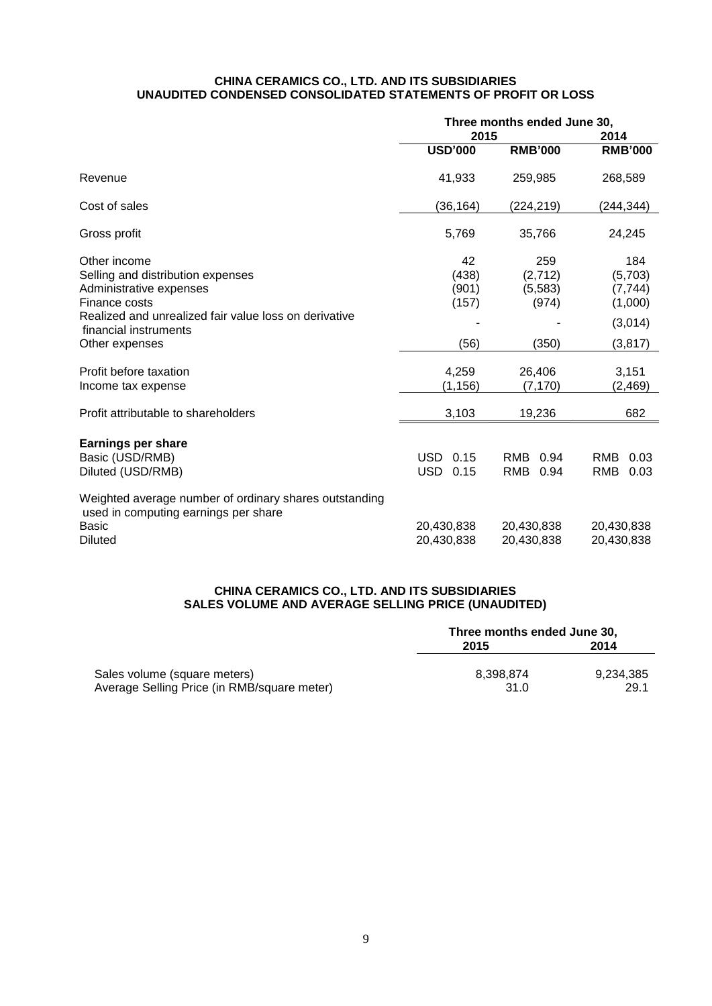#### **CHINA CERAMICS CO., LTD. AND ITS SUBSIDIARIES UNAUDITED CONDENSED CONSOLIDATED STATEMENTS OF PROFIT OR LOSS**

|                                                                                                                                  | Three months ended June 30,<br>2015 |                                    | 2014                                     |  |
|----------------------------------------------------------------------------------------------------------------------------------|-------------------------------------|------------------------------------|------------------------------------------|--|
|                                                                                                                                  | <b>USD'000</b>                      | <b>RMB'000</b>                     | <b>RMB'000</b>                           |  |
| Revenue                                                                                                                          | 41,933                              | 259,985                            | 268,589                                  |  |
| Cost of sales                                                                                                                    | (36, 164)                           | (224,219)                          | (244,344)                                |  |
| Gross profit                                                                                                                     | 5,769                               | 35,766                             | 24,245                                   |  |
| Other income<br>Selling and distribution expenses<br>Administrative expenses<br>Finance costs                                    | 42<br>(438)<br>(901)<br>(157)       | 259<br>(2,712)<br>(5,583)<br>(974) | 184<br>(5,703)<br>(7, 744)<br>(1,000)    |  |
| Realized and unrealized fair value loss on derivative<br>financial instruments<br>Other expenses                                 | (56)                                | (350)                              | (3,014)<br>(3, 817)                      |  |
| Profit before taxation<br>Income tax expense                                                                                     | 4,259<br>(1, 156)                   | 26,406<br>(7, 170)                 | 3,151<br>(2, 469)                        |  |
| Profit attributable to shareholders                                                                                              | 3,103                               | 19,236                             | 682                                      |  |
| <b>Earnings per share</b><br>Basic (USD/RMB)<br>Diluted (USD/RMB)                                                                | USD<br>0.15<br><b>USD</b><br>0.15   | RMB<br>0.94<br>RMB<br>0.94         | <b>RMB</b><br>0.03<br><b>RMB</b><br>0.03 |  |
| Weighted average number of ordinary shares outstanding<br>used in computing earnings per share<br><b>Basic</b><br><b>Diluted</b> | 20,430,838<br>20,430,838            | 20,430,838<br>20,430,838           | 20,430,838<br>20,430,838                 |  |

# **CHINA CERAMICS CO., LTD. AND ITS SUBSIDIARIES SALES VOLUME AND AVERAGE SELLING PRICE (UNAUDITED)**

|                                             | Three months ended June 30, |           |  |
|---------------------------------------------|-----------------------------|-----------|--|
|                                             | 2015                        | 2014      |  |
| Sales volume (square meters)                | 8.398.874                   | 9.234.385 |  |
| Average Selling Price (in RMB/square meter) | 31.0                        | 29.1      |  |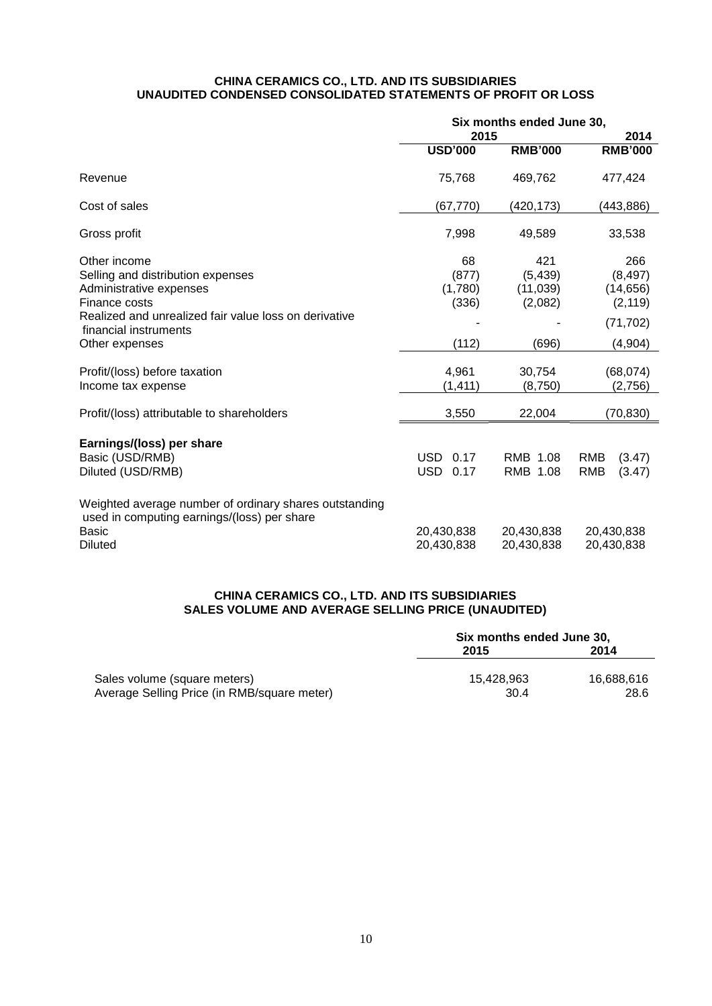#### **CHINA CERAMICS CO., LTD. AND ITS SUBSIDIARIES UNAUDITED CONDENSED CONSOLIDATED STATEMENTS OF PROFIT OR LOSS**

|                                                                                                       | Six months ended June 30, |                |                      |
|-------------------------------------------------------------------------------------------------------|---------------------------|----------------|----------------------|
|                                                                                                       | 2015                      |                | 2014                 |
|                                                                                                       | <b>USD'000</b>            | <b>RMB'000</b> | <b>RMB'000</b>       |
| Revenue                                                                                               | 75,768                    | 469,762        | 477,424              |
| Cost of sales                                                                                         | (67, 770)                 | (420, 173)     | (443, 886)           |
| Gross profit                                                                                          | 7,998                     | 49,589         | 33,538               |
| Other income                                                                                          | 68                        | 421            | 266                  |
| Selling and distribution expenses                                                                     | (877)                     | (5, 439)       | (8, 497)             |
| Administrative expenses                                                                               | (1,780)                   | (11, 039)      | (14, 656)            |
| Finance costs                                                                                         | (336)                     | (2,082)        | (2, 119)             |
| Realized and unrealized fair value loss on derivative<br>financial instruments                        |                           |                | (71, 702)            |
| Other expenses                                                                                        | (112)                     | (696)          | (4, 904)             |
| Profit/(loss) before taxation                                                                         | 4,961                     | 30,754         | (68,074)             |
| Income tax expense                                                                                    | (1,411)                   | (8,750)        | (2,756)              |
| Profit/(loss) attributable to shareholders                                                            | 3,550                     | 22,004         | (70,830)             |
|                                                                                                       |                           |                |                      |
| Earnings/(loss) per share                                                                             |                           |                |                      |
| Basic (USD/RMB)                                                                                       | <b>USD</b><br>0.17        | RMB 1.08       | <b>RMB</b><br>(3.47) |
| Diluted (USD/RMB)                                                                                     | <b>USD</b><br>0.17        | RMB 1.08       | <b>RMB</b><br>(3.47) |
| Weighted average number of ordinary shares outstanding<br>used in computing earnings/(loss) per share |                           |                |                      |
| <b>Basic</b>                                                                                          | 20,430,838                | 20,430,838     | 20,430,838           |
| <b>Diluted</b>                                                                                        | 20,430,838                | 20,430,838     | 20,430,838           |

# **CHINA CERAMICS CO., LTD. AND ITS SUBSIDIARIES SALES VOLUME AND AVERAGE SELLING PRICE (UNAUDITED)**

|                                             | Six months ended June 30, |            |  |
|---------------------------------------------|---------------------------|------------|--|
|                                             | 2014<br>2015              |            |  |
| Sales volume (square meters)                | 15.428.963                | 16.688.616 |  |
| Average Selling Price (in RMB/square meter) | 30.4                      | 28.6       |  |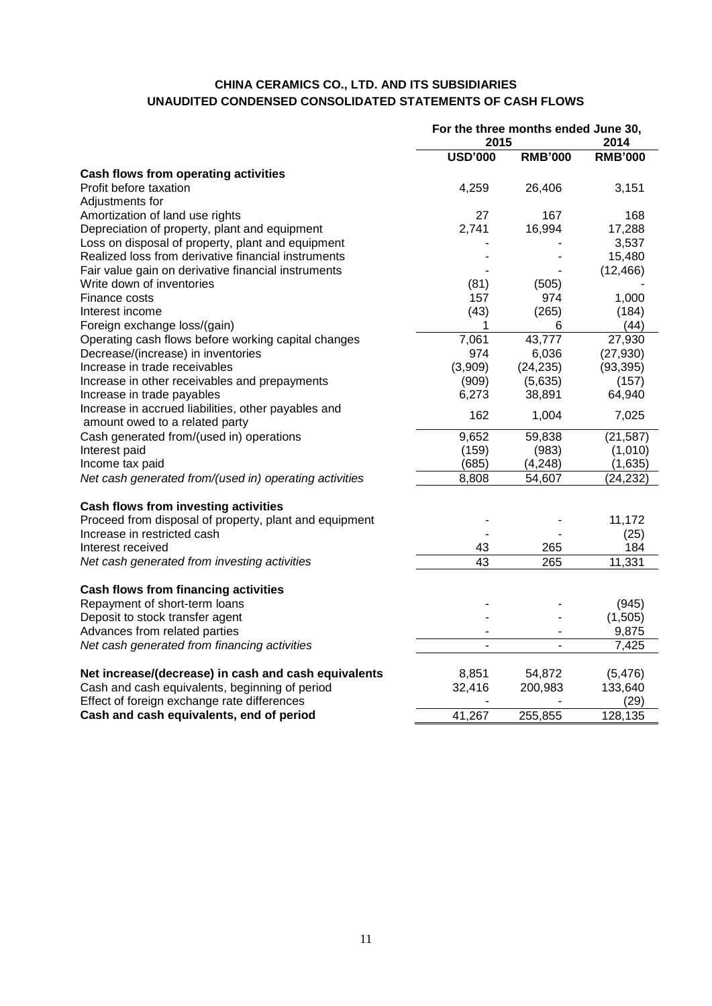# **CHINA CERAMICS CO., LTD. AND ITS SUBSIDIARIES UNAUDITED CONDENSED CONSOLIDATED STATEMENTS OF CASH FLOWS**

|                                                        | For the three months ended June 30,<br>2015<br>2014 |                |                |
|--------------------------------------------------------|-----------------------------------------------------|----------------|----------------|
|                                                        | <b>USD'000</b>                                      | <b>RMB'000</b> | <b>RMB'000</b> |
| Cash flows from operating activities                   |                                                     |                |                |
| Profit before taxation                                 | 4,259                                               | 26,406         | 3,151          |
| Adjustments for                                        |                                                     |                |                |
| Amortization of land use rights                        | 27                                                  | 167            | 168            |
| Depreciation of property, plant and equipment          | 2,741                                               | 16,994         | 17,288         |
| Loss on disposal of property, plant and equipment      |                                                     |                | 3,537          |
| Realized loss from derivative financial instruments    |                                                     |                | 15,480         |
| Fair value gain on derivative financial instruments    |                                                     |                | (12, 466)      |
| Write down of inventories                              | (81)                                                | (505)          |                |
| Finance costs                                          | 157                                                 | 974            | 1,000          |
| Interest income                                        | (43)                                                | (265)          | (184)          |
| Foreign exchange loss/(gain)                           | 1                                                   | 6              | (44)           |
| Operating cash flows before working capital changes    | 7,061                                               | 43,777         | 27,930         |
| Decrease/(increase) in inventories                     | 974                                                 | 6,036          | (27, 930)      |
| Increase in trade receivables                          | (3,909)                                             | (24, 235)      | (93, 395)      |
| Increase in other receivables and prepayments          | (909)                                               | (5,635)        | (157)          |
| Increase in trade payables                             | 6,273                                               | 38,891         | 64,940         |
| Increase in accrued liabilities, other payables and    | 162                                                 | 1,004          | 7,025          |
| amount owed to a related party                         |                                                     |                |                |
| Cash generated from/(used in) operations               | 9,652                                               | 59,838         | (21, 587)      |
| Interest paid                                          | (159)                                               | (983)          | (1,010)        |
| Income tax paid                                        | (685)                                               | (4, 248)       | (1,635)        |
| Net cash generated from/(used in) operating activities | 8,808                                               | 54,607         | (24, 232)      |
| Cash flows from investing activities                   |                                                     |                |                |
| Proceed from disposal of property, plant and equipment |                                                     |                | 11,172         |
| Increase in restricted cash                            |                                                     |                | (25)           |
| Interest received                                      | 43                                                  | 265            | 184            |
| Net cash generated from investing activities           | 43                                                  | 265            | 11,331         |
| <b>Cash flows from financing activities</b>            |                                                     |                |                |
| Repayment of short-term loans                          |                                                     |                | (945)          |
| Deposit to stock transfer agent                        |                                                     |                | (1,505)        |
| Advances from related parties                          |                                                     |                | 9,875          |
| Net cash generated from financing activities           |                                                     | $\blacksquare$ | 7,425          |
| Net increase/(decrease) in cash and cash equivalents   | 8,851                                               | 54,872         | (5, 476)       |
| Cash and cash equivalents, beginning of period         | 32,416                                              | 200,983        | 133,640        |
| Effect of foreign exchange rate differences            |                                                     |                | (29)           |
| Cash and cash equivalents, end of period               | 41,267                                              | 255,855        | 128,135        |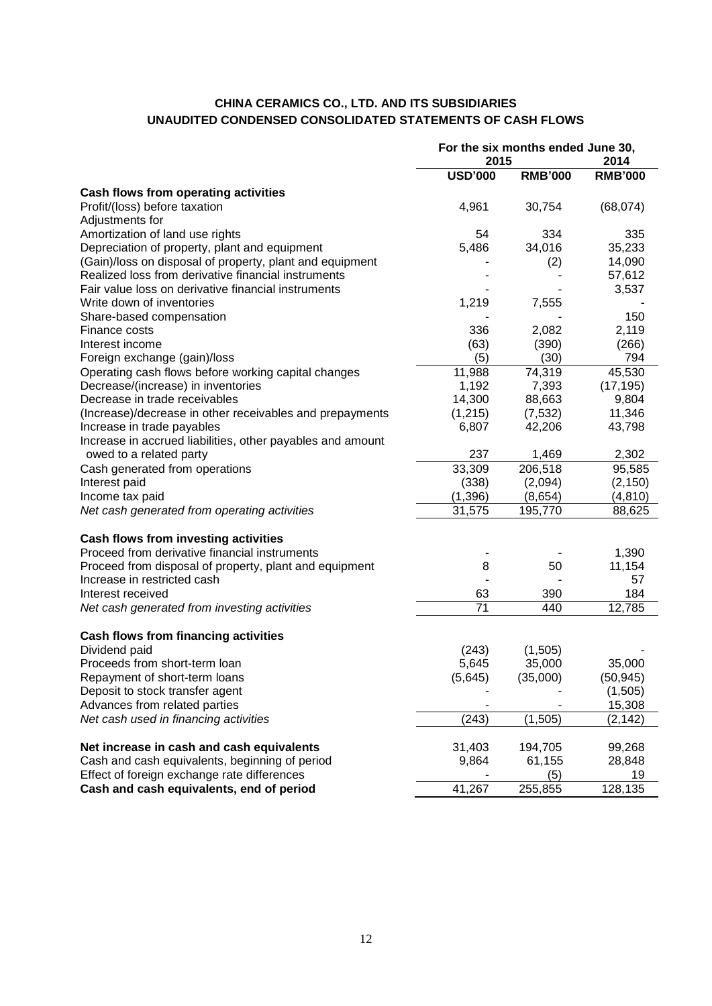# **CHINA CERAMICS CO., LTD. AND ITS SUBSIDIARIES UNAUDITED CONDENSED CONSOLIDATED STATEMENTS OF CASH FLOWS**

|                                                            | For the six months ended June 30,<br>2014<br>2015 |                |                |
|------------------------------------------------------------|---------------------------------------------------|----------------|----------------|
|                                                            | <b>USD'000</b>                                    | <b>RMB'000</b> | <b>RMB'000</b> |
| Cash flows from operating activities                       |                                                   |                |                |
| Profit/(loss) before taxation                              | 4,961                                             | 30,754         | (68,074)       |
| Adjustments for                                            |                                                   |                |                |
| Amortization of land use rights                            | 54                                                | 334            | 335            |
| Depreciation of property, plant and equipment              | 5,486                                             | 34,016         | 35,233         |
| (Gain)/loss on disposal of property, plant and equipment   |                                                   | (2)            | 14,090         |
| Realized loss from derivative financial instruments        |                                                   |                | 57,612         |
| Fair value loss on derivative financial instruments        |                                                   |                | 3,537          |
| Write down of inventories                                  | 1,219                                             | 7,555          |                |
| Share-based compensation                                   |                                                   |                | 150            |
| Finance costs                                              | 336                                               | 2,082          | 2,119          |
| Interest income                                            | (63)                                              | (390)          | (266)          |
| Foreign exchange (gain)/loss                               | (5)                                               | (30)           | 794            |
| Operating cash flows before working capital changes        | 11,988                                            | 74,319         | 45,530         |
| Decrease/(increase) in inventories                         | 1,192                                             | 7,393          | (17, 195)      |
| Decrease in trade receivables                              | 14,300                                            | 88,663         | 9,804          |
| (Increase)/decrease in other receivables and prepayments   | (1, 215)                                          | (7, 532)       | 11,346         |
| Increase in trade payables                                 | 6,807                                             | 42,206         | 43,798         |
| Increase in accrued liabilities, other payables and amount |                                                   |                |                |
| owed to a related party                                    | 237                                               | 1,469          | 2,302          |
| Cash generated from operations                             | 33,309                                            | 206,518        | 95,585         |
| Interest paid                                              | (338)                                             | (2,094)        | (2, 150)       |
| Income tax paid                                            | (1, 396)                                          | (8,654)        | (4, 810)       |
| Net cash generated from operating activities               | 31,575                                            | 195,770        | 88,625         |
|                                                            |                                                   |                |                |
| Cash flows from investing activities                       |                                                   |                |                |
| Proceed from derivative financial instruments              |                                                   |                | 1,390          |
| Proceed from disposal of property, plant and equipment     | 8                                                 | 50             | 11,154         |
| Increase in restricted cash                                |                                                   |                | 57             |
| Interest received                                          | 63                                                | 390            | 184            |
| Net cash generated from investing activities               | 71                                                | 440            | 12,785         |
| <b>Cash flows from financing activities</b>                |                                                   |                |                |
| Dividend paid                                              | (243)                                             | (1,505)        |                |
| Proceeds from short-term loan                              | 5,645                                             | 35,000         | 35,000         |
| Repayment of short-term loans                              | (5,645)                                           | (35,000)       | (50, 945)      |
| Deposit to stock transfer agent                            |                                                   |                | (1,505)        |
| Advances from related parties                              |                                                   |                | 15,308         |
| Net cash used in financing activities                      | (243)                                             | (1, 505)       | (2, 142)       |
|                                                            |                                                   |                |                |
| Net increase in cash and cash equivalents                  | 31,403                                            | 194,705        | 99,268         |
| Cash and cash equivalents, beginning of period             | 9,864                                             | 61,155         | 28,848         |
| Effect of foreign exchange rate differences                |                                                   | (5)            | 19             |
| Cash and cash equivalents, end of period                   | 41,267                                            | 255,855        | 128,135        |